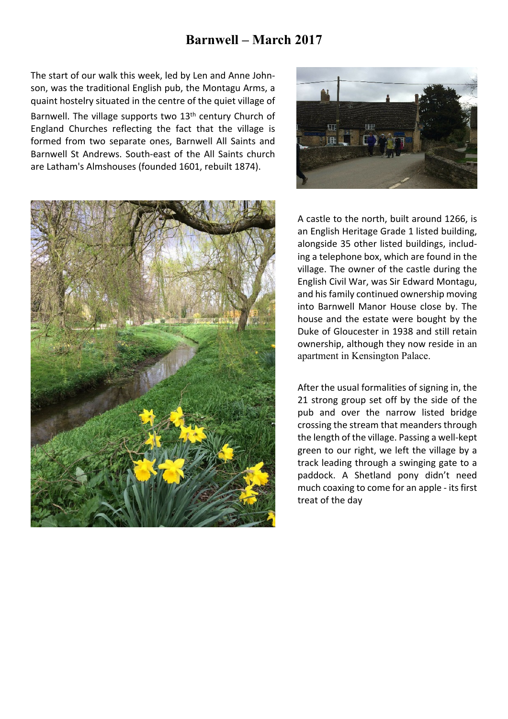## **Barnwell – March 2017**

The start of our walk this week, led by Len and Anne Johnson, was the traditional English pub, the Montagu Arms, a quaint hostelry situated in the centre of the quiet village of

Barnwell. The village supports two  $13<sup>th</sup>$  century Church of England Churches reflecting the fact that the village is formed from two separate ones, Barnwell All Saints and Barnwell St Andrews. South-east of the All Saints church are Latham's Almshouses (founded 1601, rebuilt 1874).





A castle to the north, built around 1266, is an English Heritage Grade 1 listed building, alongside 35 other listed buildings, including a telephone box, which are found in the village. The owner of the castle during the English Civil War, was Sir Edward Montagu, and his family continued ownership moving into Barnwell Manor House close by. The house and the estate were bought by the Duke of Gloucester in 1938 and still retain ownership, although they now reside in an apartment in Kensington Palace.

After the usual formalities of signing in, the 21 strong group set off by the side of the pub and over the narrow listed bridge crossing the stream that meanders through the length of the village. Passing a well-kept green to our right, we left the village by a track leading through a swinging gate to a paddock. A Shetland pony didn't need much coaxing to come for an apple - its first treat of the day